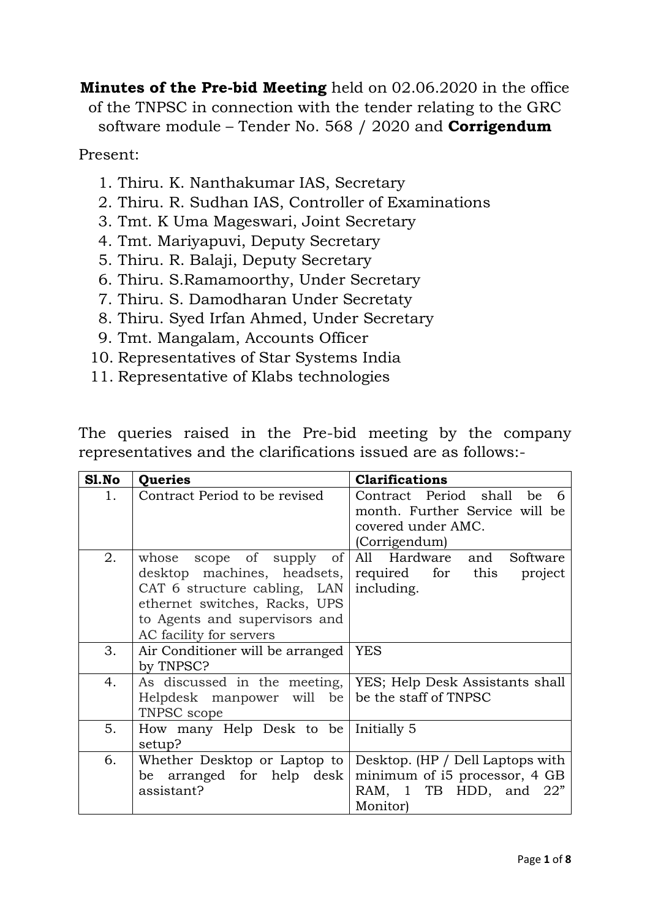**Minutes of the Pre-bid Meeting** held on 02.06.2020 in the office of the TNPSC in connection with the tender relating to the GRC software module – Tender No. 568 / 2020 and **Corrigendum**

Present:

- 1. Thiru. K. Nanthakumar IAS, Secretary
- 2. Thiru. R. Sudhan IAS, Controller of Examinations
- 3. Tmt. K Uma Mageswari, Joint Secretary
- 4. Tmt. Mariyapuvi, Deputy Secretary
- 5. Thiru. R. Balaji, Deputy Secretary
- 6. Thiru. S.Ramamoorthy, Under Secretary
- 7. Thiru. S. Damodharan Under Secretaty
- 8. Thiru. Syed Irfan Ahmed, Under Secretary
- 9. Tmt. Mangalam, Accounts Officer
- 10. Representatives of Star Systems India
- 11. Representative of Klabs technologies

The queries raised in the Pre-bid meeting by the company representatives and the clarifications issued are as follows:-

| Sl.No | Queries                                                                                                                                                                              | <b>Clarifications</b>                                                                                     |
|-------|--------------------------------------------------------------------------------------------------------------------------------------------------------------------------------------|-----------------------------------------------------------------------------------------------------------|
| 1.    | Contract Period to be revised                                                                                                                                                        | Contract Period shall be<br>month. Further Service will be<br>covered under AMC.<br>(Corrigendum)         |
| 2.    | whose scope of supply of<br>desktop machines, headsets,<br>CAT 6 structure cabling, LAN<br>ethernet switches, Racks, UPS<br>to Agents and supervisors and<br>AC facility for servers | All Hardware and Software<br>required for this<br>project<br>including.                                   |
| 3.    | Air Conditioner will be arranged<br>by TNPSC?                                                                                                                                        | YES                                                                                                       |
| 4.    | As discussed in the meeting,<br>Helpdesk manpower will be<br>TNPSC scope                                                                                                             | YES; Help Desk Assistants shall<br>be the staff of TNPSC                                                  |
| 5.    | How many Help Desk to be<br>setup?                                                                                                                                                   | Initially 5                                                                                               |
| 6.    | Whether Desktop or Laptop to<br>be arranged for help desk<br>assistant?                                                                                                              | Desktop. (HP / Dell Laptops with<br>minimum of $i5$ processor, 4 GB<br>RAM, 1 TB HDD, and 22"<br>Monitor) |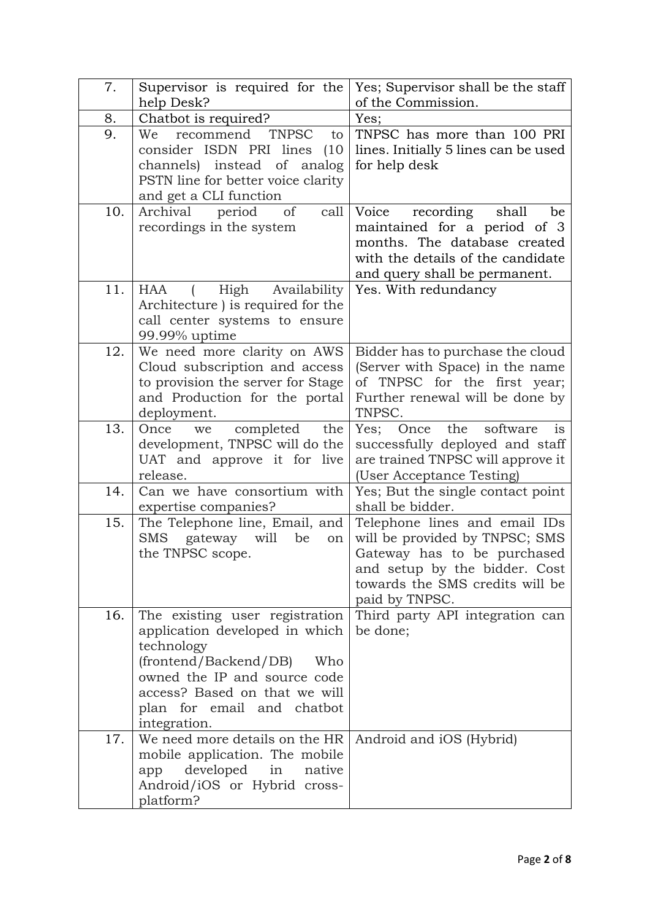| 7.  | Supervisor is required for the                 | Yes; Supervisor shall be the staff                |
|-----|------------------------------------------------|---------------------------------------------------|
|     | help Desk?                                     | of the Commission.                                |
| 8.  | Chatbot is required?                           | Yes;                                              |
| 9.  | recommend<br><b>TNPSC</b><br>We<br>to          | TNPSC has more than 100 PRI                       |
|     | consider ISDN PRI lines<br>(10)                | lines. Initially 5 lines can be used              |
|     | channels) instead of analog                    | for help desk                                     |
|     | PSTN line for better voice clarity             |                                                   |
|     | and get a CLI function                         |                                                   |
| 10. | Archival<br>period<br>of<br>call               | Voice<br>recording<br>shall<br>be                 |
|     | recordings in the system                       | maintained for a period of 3                      |
|     |                                                | months. The database created                      |
|     |                                                | with the details of the candidate                 |
|     |                                                | and query shall be permanent.                     |
| 11. | <b>HAA</b><br>High<br>Availability             | Yes. With redundancy                              |
|     | Architecture ) is required for the             |                                                   |
|     | call center systems to ensure<br>99.99% uptime |                                                   |
| 12. | We need more clarity on AWS                    | Bidder has to purchase the cloud                  |
|     | Cloud subscription and access                  | (Server with Space) in the name                   |
|     | to provision the server for Stage              | of TNPSC for the first year;                      |
|     | and Production for the portal                  | Further renewal will be done by                   |
|     | deployment.                                    | TNPSC.                                            |
| 13. | completed<br>Once we<br>the                    | Yes; Once the software<br>$i$ s                   |
|     | development, TNPSC will do the                 | successfully deployed and staff                   |
|     | UAT and approve it for live                    | are trained TNPSC will approve it                 |
|     | release.                                       | (User Acceptance Testing)                         |
| 14. | Can we have consortium with                    | Yes; But the single contact point                 |
|     | expertise companies?                           | shall be bidder.                                  |
| 15. | The Telephone line, Email, and                 | Telephone lines and email IDs                     |
|     | ${\rm SMS}$<br>gateway will<br>be<br>on        | will be provided by TNPSC; SMS                    |
|     | the TNPSC scope.                               | Gateway has to be purchased                       |
|     |                                                | and setup by the bidder. Cost                     |
|     |                                                | towards the SMS credits will be                   |
| 16. | The existing user registration                 | paid by TNPSC.<br>Third party API integration can |
|     | application developed in which                 | be done;                                          |
|     | technology                                     |                                                   |
|     | (frontend/Backend/DB)<br>Who                   |                                                   |
|     | owned the IP and source code                   |                                                   |
|     | access? Based on that we will                  |                                                   |
|     | plan for email and chatbot                     |                                                   |
|     | integration.                                   |                                                   |
| 17. | We need more details on the HR                 | Android and iOS (Hybrid)                          |
|     | mobile application. The mobile                 |                                                   |
|     | developed in<br>native<br>app                  |                                                   |
|     | Android/iOS or Hybrid cross-                   |                                                   |
|     | platform?                                      |                                                   |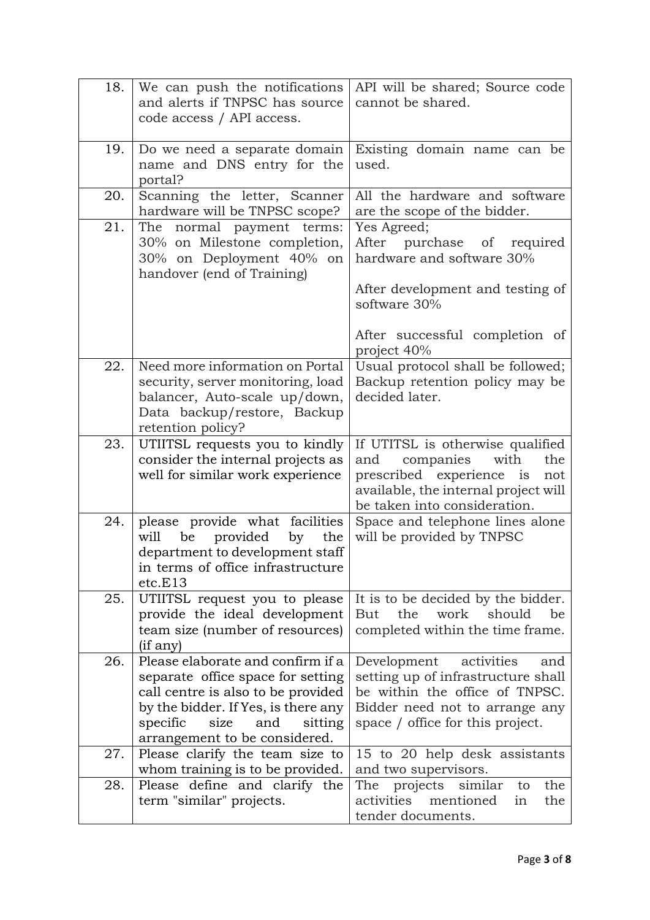| 18. | We can push the notifications                                      | API will be shared; Source code                                     |
|-----|--------------------------------------------------------------------|---------------------------------------------------------------------|
|     | and alerts if TNPSC has source                                     | cannot be shared.                                                   |
|     | code access / API access.                                          |                                                                     |
|     |                                                                    |                                                                     |
| 19. | Do we need a separate domain                                       | Existing domain name can be                                         |
|     | name and DNS entry for the                                         | used.                                                               |
|     | portal?                                                            |                                                                     |
| 20. | Scanning the letter, Scanner                                       | All the hardware and software                                       |
|     | hardware will be TNPSC scope?                                      | are the scope of the bidder.                                        |
| 21. | The normal payment terms:                                          | Yes Agreed;                                                         |
|     | 30% on Milestone completion,                                       | After purchase of<br>required                                       |
|     | 30% on Deployment 40% on                                           | hardware and software 30%                                           |
|     | handover (end of Training)                                         |                                                                     |
|     |                                                                    | After development and testing of                                    |
|     |                                                                    | software 30%                                                        |
|     |                                                                    |                                                                     |
|     |                                                                    | After successful completion of                                      |
|     | Need more information on Portal                                    | project 40%                                                         |
| 22. |                                                                    | Usual protocol shall be followed;<br>Backup retention policy may be |
|     | security, server monitoring, load<br>balancer, Auto-scale up/down, | decided later.                                                      |
|     | Data backup/restore, Backup                                        |                                                                     |
|     | retention policy?                                                  |                                                                     |
| 23. | UTIITSL requests you to kindly                                     | If UTITSL is otherwise qualified                                    |
|     | consider the internal projects as                                  | companies<br>with<br>and<br>the                                     |
|     | well for similar work experience                                   | prescribed experience is<br>not                                     |
|     |                                                                    | available, the internal project will                                |
|     |                                                                    | be taken into consideration.                                        |
| 24. | please provide what facilities                                     | Space and telephone lines alone                                     |
|     | will be<br>provided<br>by<br>the                                   | will be provided by TNPSC                                           |
|     | department to development staff                                    |                                                                     |
|     | in terms of office infrastructure                                  |                                                                     |
|     | etc.E13                                                            |                                                                     |
| 25. | UTIITSL request you to please                                      | It is to be decided by the bidder.                                  |
|     | provide the ideal development                                      | the<br>work<br>should<br><b>But</b><br>be                           |
|     | team size (number of resources)                                    | completed within the time frame.                                    |
|     | (if any)                                                           |                                                                     |
| 26. | Please elaborate and confirm if a                                  | Development<br>activities<br>and                                    |
|     | separate office space for setting                                  | setting up of infrastructure shall                                  |
|     | call centre is also to be provided                                 | be within the office of TNPSC.                                      |
|     | by the bidder. If Yes, is there any                                | Bidder need not to arrange any                                      |
|     | specific<br>size<br>and<br>sitting                                 | space / office for this project.                                    |
|     | arrangement to be considered.                                      |                                                                     |
| 27. | Please clarify the team size to                                    | 15 to 20 help desk assistants                                       |
|     | whom training is to be provided.                                   | and two supervisors.                                                |
| 28. | Please define and clarify the                                      | projects similar<br>the<br>The<br>to                                |
|     | term "similar" projects.                                           | activities<br>mentioned<br>the<br>in                                |
|     |                                                                    | tender documents.                                                   |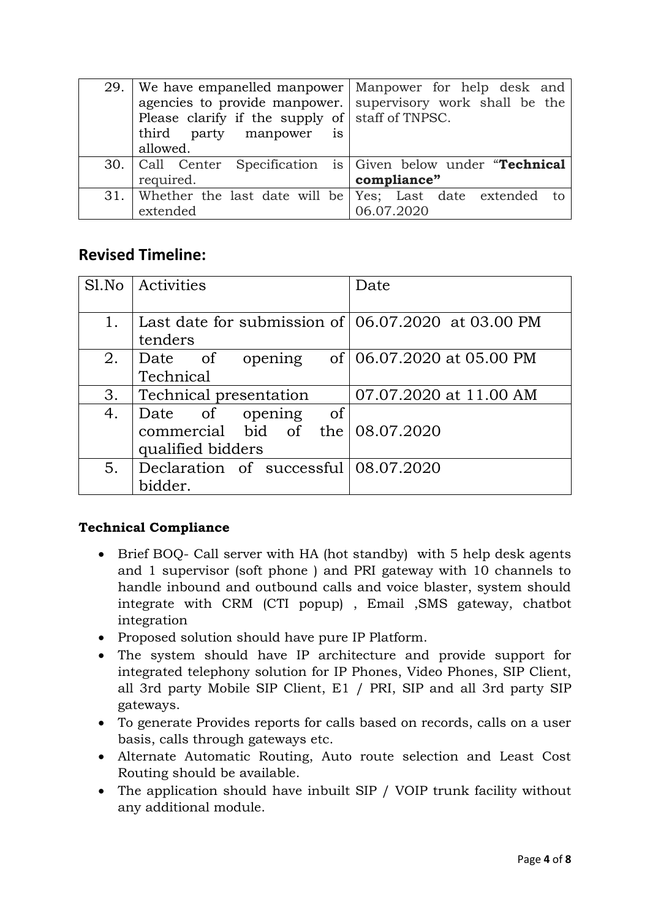|                                                 | 29. We have empanelled manpower Manpower for help desk and     |
|-------------------------------------------------|----------------------------------------------------------------|
|                                                 | agencies to provide manpower. supervisory work shall be the    |
| Please clarify if the supply of staff of TNPSC. |                                                                |
| third party manpower is                         |                                                                |
| allowed.                                        |                                                                |
|                                                 | 30. Call Center Specification is Given below under "Technical" |
| required.                                       | compliance"                                                    |
|                                                 | 31. Whether the last date will be Yes; Last date extended to   |
| extended                                        | 06.07.2020                                                     |

## **Revised Timeline:**

|    | Sl.No   Activities                                     | Date                      |
|----|--------------------------------------------------------|---------------------------|
|    |                                                        |                           |
| 1. | Last date for submission of $(06.07.2020)$ at 03.00 PM |                           |
|    | tenders                                                |                           |
| 2. | Date of<br>opening                                     | of 06.07.2020 at 05.00 PM |
|    | Technical                                              |                           |
| 3. | Technical presentation                                 | 07.07.2020 at 11.00 AM    |
| 4. | Date of opening<br>$\circ$ of                          |                           |
|    | commercial bid of the $08.07.2020$                     |                           |
|    | qualified bidders                                      |                           |
| 5. | Declaration of successful 08.07.2020                   |                           |
|    | bidder.                                                |                           |

## **Technical Compliance**

- Brief BOQ- Call server with HA (hot standby) with 5 help desk agents and 1 supervisor (soft phone ) and PRI gateway with 10 channels to handle inbound and outbound calls and voice blaster, system should integrate with CRM (CTI popup) , Email ,SMS gateway, chatbot integration
- Proposed solution should have pure IP Platform.
- The system should have IP architecture and provide support for integrated telephony solution for IP Phones, Video Phones, SIP Client, all 3rd party Mobile SIP Client, E1 / PRI, SIP and all 3rd party SIP gateways.
- To generate Provides reports for calls based on records, calls on a user basis, calls through gateways etc.
- Alternate Automatic Routing, Auto route selection and Least Cost Routing should be available.
- The application should have inbuilt SIP / VOIP trunk facility without any additional module.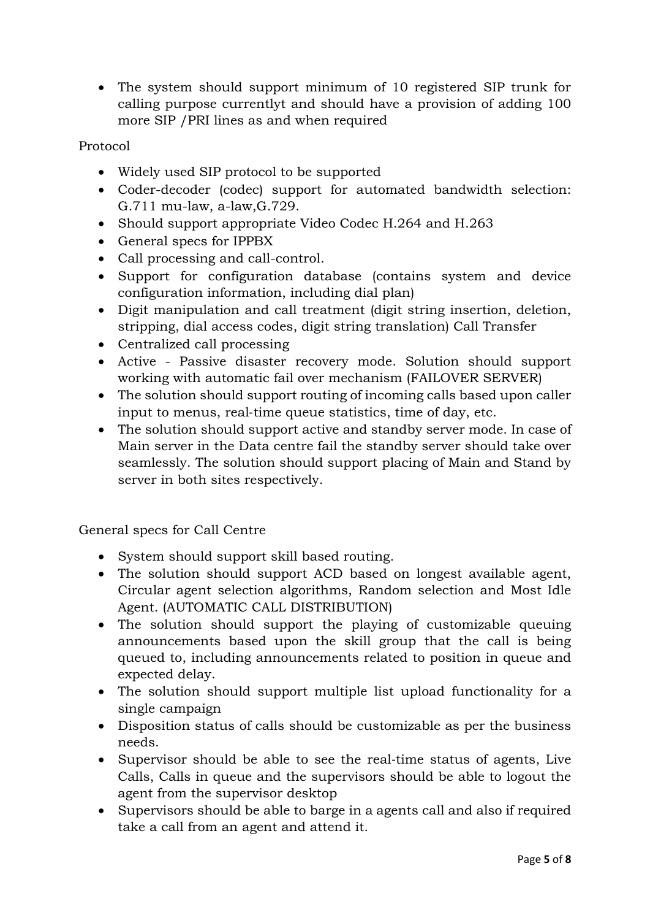The system should support minimum of 10 registered SIP trunk for calling purpose currentlyt and should have a provision of adding 100 more SIP /PRI lines as and when required

## Protocol

- Widely used SIP protocol to be supported
- Coder-decoder (codec) support for automated bandwidth selection: G.711 mu-law, a-law,G.729.
- Should support appropriate Video Codec H.264 and H.263
- General specs for IPPBX
- Call processing and call-control.
- Support for configuration database (contains system and device configuration information, including dial plan)
- Digit manipulation and call treatment (digit string insertion, deletion, stripping, dial access codes, digit string translation) Call Transfer
- Centralized call processing
- Active Passive disaster recovery mode. Solution should support working with automatic fail over mechanism (FAILOVER SERVER)
- The solution should support routing of incoming calls based upon caller input to menus, real‐time queue statistics, time of day, etc.
- The solution should support active and standby server mode. In case of Main server in the Data centre fail the standby server should take over seamlessly. The solution should support placing of Main and Stand by server in both sites respectively.

General specs for Call Centre

- System should support skill based routing.
- The solution should support ACD based on longest available agent, Circular agent selection algorithms, Random selection and Most Idle Agent. (AUTOMATIC CALL DISTRIBUTION)
- The solution should support the playing of customizable queuing announcements based upon the skill group that the call is being queued to, including announcements related to position in queue and expected delay.
- The solution should support multiple list upload functionality for a single campaign
- Disposition status of calls should be customizable as per the business needs.
- Supervisor should be able to see the real-time status of agents, Live Calls, Calls in queue and the supervisors should be able to logout the agent from the supervisor desktop
- Supervisors should be able to barge in a agents call and also if required take a call from an agent and attend it.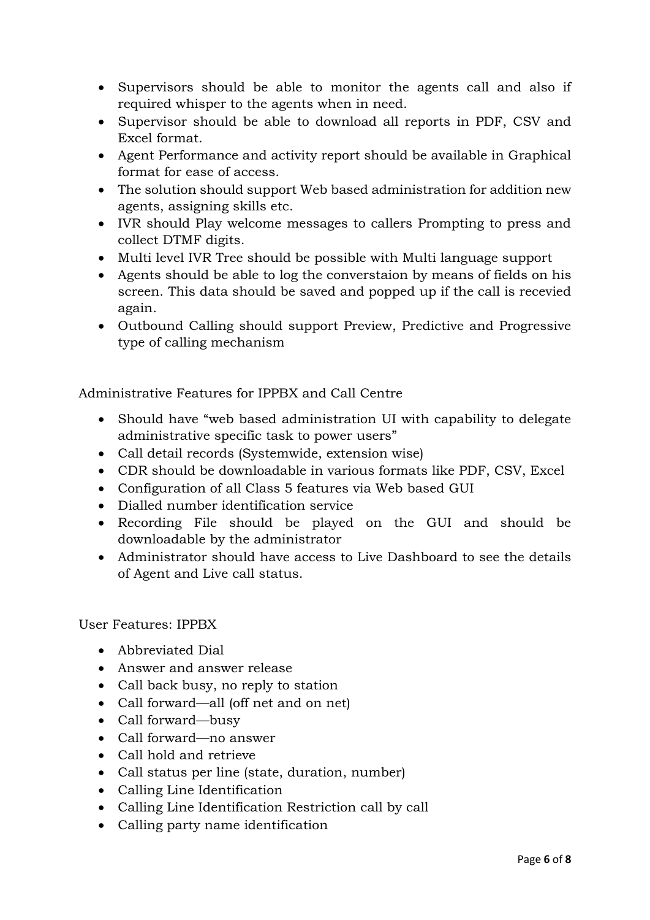- Supervisors should be able to monitor the agents call and also if required whisper to the agents when in need.
- Supervisor should be able to download all reports in PDF, CSV and Excel format.
- Agent Performance and activity report should be available in Graphical format for ease of access.
- The solution should support Web based administration for addition new agents, assigning skills etc.
- IVR should Play welcome messages to callers Prompting to press and collect DTMF digits.
- Multi level IVR Tree should be possible with Multi language support
- Agents should be able to log the converstaion by means of fields on his screen. This data should be saved and popped up if the call is recevied again.
- Outbound Calling should support Preview, Predictive and Progressive type of calling mechanism

Administrative Features for IPPBX and Call Centre

- Should have "web based administration UI with capability to delegate administrative specific task to power users"
- Call detail records (Systemwide, extension wise)
- CDR should be downloadable in various formats like PDF, CSV, Excel
- Configuration of all Class 5 features via Web based GUI
- Dialled number identification service
- Recording File should be played on the GUI and should be downloadable by the administrator
- Administrator should have access to Live Dashboard to see the details of Agent and Live call status.

User Features: IPPBX

- Abbreviated Dial
- Answer and answer release
- Call back busy, no reply to station
- Call forward—all (off net and on net)
- Call forward—busy
- Call forward—no answer
- Call hold and retrieve
- Call status per line (state, duration, number)
- Calling Line Identification
- Calling Line Identification Restriction call by call
- Calling party name identification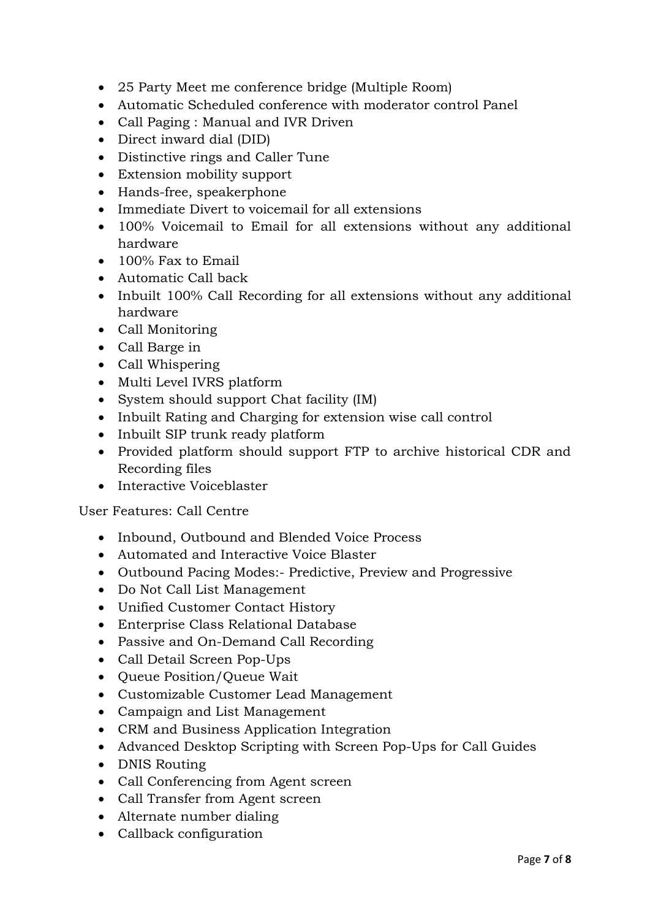- 25 Party Meet me conference bridge (Multiple Room)
- Automatic Scheduled conference with moderator control Panel
- Call Paging : Manual and IVR Driven
- Direct inward dial (DID)
- Distinctive rings and Caller Tune
- Extension mobility support
- Hands-free, speakerphone
- Immediate Divert to voicemail for all extensions
- 100% Voicemail to Email for all extensions without any additional hardware
- 100% Fax to Email
- Automatic Call back
- Inbuilt 100% Call Recording for all extensions without any additional hardware
- Call Monitoring
- Call Barge in
- Call Whispering
- Multi Level IVRS platform
- System should support Chat facility (IM)
- Inbuilt Rating and Charging for extension wise call control
- Inbuilt SIP trunk ready platform
- Provided platform should support FTP to archive historical CDR and Recording files
- Interactive Voiceblaster

User Features: Call Centre

- Inbound, Outbound and Blended Voice Process
- Automated and Interactive Voice Blaster
- Outbound Pacing Modes:- Predictive, Preview and Progressive
- Do Not Call List Management
- Unified Customer Contact History
- Enterprise Class Relational Database
- Passive and On-Demand Call Recording
- Call Detail Screen Pop-Ups
- Queue Position/Queue Wait
- Customizable Customer Lead Management
- Campaign and List Management
- CRM and Business Application Integration
- Advanced Desktop Scripting with Screen Pop-Ups for Call Guides
- DNIS Routing
- Call Conferencing from Agent screen
- Call Transfer from Agent screen
- Alternate number dialing
- Callback configuration